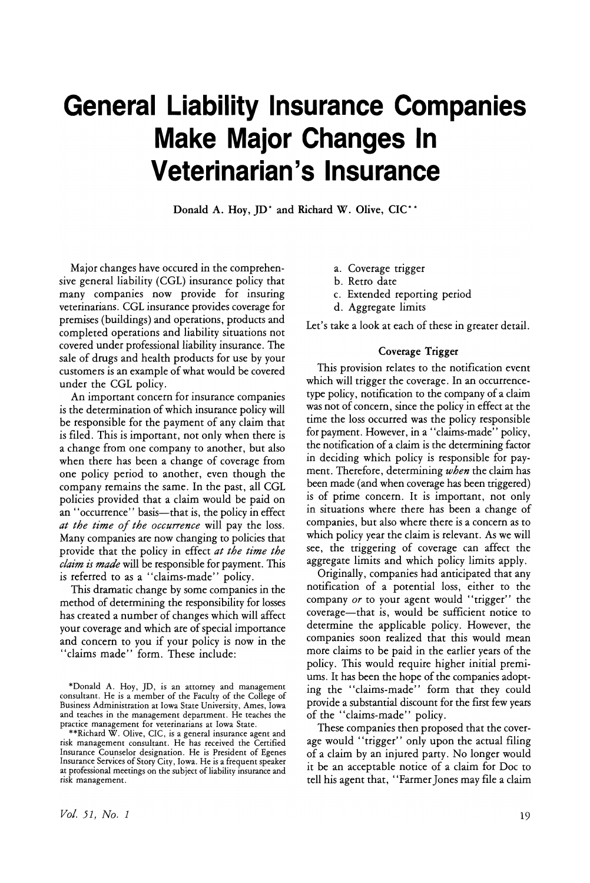# **General Liability Insurance Companies Make Major Changes In Veterinarian's Insurance**

Donald A. Hoy, JD\* and Richard W. Olive, CIC\*\*

Major changes have occured in the comprehensive general liability (CGL) insurance policy that many companies now provide for insuring veterinarians. CGL insurance provides coverage for premises (buildings) and operations, products and completed operations and liability situations not covered under professional liability insurance. The sale of drugs and health products for use by your customers is an example of what would be covered under the CGL policy.

An important concern for insurance companies is the determination of which insurance policy will be responsible for the payment of any claim that is filed. This is important, not only when there is a change from one company to another, but also when there has been a change of coverage from one policy period to another, even though the company remains the same. In the past, all CGL policies provided that a claim would be paid on an "occurrence" basis—that is, the policy in effect *at the time of the occurrence* will pay the loss. Many companies are now changing to policies that provide that the policy in effect *at the time the claim is made* will be responsible for payment. This is referred to as a "claims-made" policy.

This dramatic change by some companies in the method of determining the responsibility for losses has created a number of changes which will affect your coverage and which are of special importance and concern to you if your policy is now in the "claims made" form. These include:

- a. Coverage trigger
- b. Retro date
- c. Extended reporting period
- d. Aggregate limits

Let's take a look at each of these in greater detail.

#### Coverage Trigger

This provision relates to the notification event which will trigger the coverage. In an occurrencetype policy, notification to the company of a claim was not of concern, since the policy in effect at the time the loss occurred was the policy responsible for payment. However, in a "claims-made" policy, the notification of a claim is the determining factor in deciding which policy is responsible for payment. Therefore, determining *when* the claim has been made (and when coverage has been triggered) is of prime concern. It is important, not only in situations where there has been a change of companies, but also where there is a concern as to which policy year the claim is relevant. As we will see, the triggering of coverage can affect the aggregate limits and which policy limits apply.

Originally, companies had anticipated that any notification of a potential loss, either to the company *or* to your agent would "trigger" the coverage-that is, would be sufficient notice to determine the applicable policy. However, the companies soon realized that this would mean more claims to be paid in the earlier years of the policy. This would require higher initial premiums. It has been the hope of the companies adopting the "claims-made" form that they could provide a substantial discount for the first few years of the "claims-made" policy.

These companies then proposed that the coverage would "trigger" only upon the actual filing of a claim by an injured party. No longer would it be an acceptable notice of a claim for Doc to tell his agent that, "FarmerJones may file a claim

<sup>\*</sup>Donald A. Hoy, ]D, is an attorney and management consultant. He is a member of the Faculty of the College of Business Administration at Iowa State University, Ames, Iowa and teaches in the management department. He teaches the

practice management for veterinarians at Iowa State.<br>\*\*Richard W. Olive, CIC, is a general insurance agent and risk management consultant. He has received the Certified Insurance Coupselor designation. He is President of Egenes Insurance Services of Story City, Iowa. He is a frequent speaker at professional meetings on the subject of liability insurance and risk management.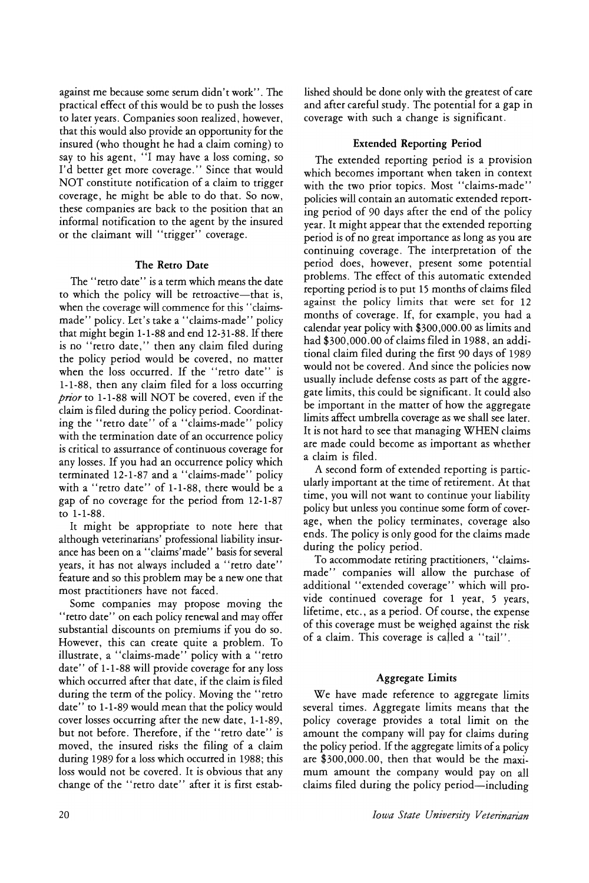against me because some serum didn't work". The practical effect of this would be to push the losses to later years. Companies soon realized, however, that this would also provide an opportunity for the insured (who thought he had a claim coming) to say to his agent, "I may have a loss coming, so I'd better get more coverage." Since that would NOT constitute notification of a claim to trigger coverage, he might be able to do that. So now, these companies are back to the position that an informal notification to the agent by the insured or the claimant will "trigger" coverage.

### The Retro Date

The "retro date" is a term which means the date to which the policy will be retroactive-that is, when the coverage will commence for this "claimsmade" policy. Let's take a "claims-made" policy that might begin  $1-1-88$  and end  $12-31-88$ . If there is no "retro date," then any claim filed during the policy period would be covered, no matter when the loss occurred. If the "retro date" is 1-1-88, then any claim filed for a loss occurring *prior* to 1-1-88 will NOT be covered, even if the claim is filed during the policy period. Coordinating the "retro date" of a "claims-made" policy with the termination date of an occurrence policy is critical to assurrance of continuous coverage for any losses. If you had an occurrence policy which terminated 12-1-87 and a " claims-made" policy with a "retro date" of 1-1-88, there would be a gap of no coverage for the period from 12-1-87 to 1-1-88.

It might be appropriate to note here that although veterinarians' professional liability insurance has been on a "claims'made" basis for several years, it has not always included a "retro date" feature and so this problem may be a new one that most practitioners have not faced.

Some companies may propose moving the "retro date" on each policy renewal and may offer substantial discounts on premiums if you do so. However, this can create quite a problem. To illustrate, a "claims-made" policy with a "retro date" of 1-1-88 will provide coverage for any loss which occurred after that date, if the claim is filed during the term of the policy. Moving the "retro date" to 1-1-89 would mean that the policy would cover losses occurring after the new date, 1-1-89, but not before. Therefore, if the "retro date" is moved, the insured risks the filing of a claim during 1989 for a loss which occurred in 1988; this loss would not be covered. It is obvious that any change of the "retro date" after it is first established should be done only with the greatest of care and after careful study. The potential for a gap in coverage with such a change is significant.

#### Extended Reporting Period

The extended reporting period is a provision which becomes important when taken in context with the two prior topics. Most "claims-made" policies will contain an automatic extended reporting period of 90 days after the end of the policy year. It might appear that the extended reporting period is of no great importance as long as you are continuing coverage. The interpretation of the period does, however, present some potential problems. The effect of this automatic extended reponing period is to put 15 months of claims filed against the policy limits that were set for 12 months of coverage. If, for example, you had a calendar year policy with \$300,000.00 as limits and had \$300,000.00 of claims filed in 1988, an additional claim filed during the first 90 days of 1989 would not be covered. And since the policies now usually include defense costs as part of the aggregate limits, this could be significant. It could also be important in the matter of how the aggregate limits affect umbrella coverage as we shall see later. It is not hard to see that managing WHEN claims are made could become as important as whether a claim is filed.

A second form of extended reporting is particularly important at the time of retirement. At that time, you will not want to continue your liability policy but unless you continue some form of coverage, when the policy terminates, coverage also ends. The policy is only good for the claims made during the policy period.

To accommodate retiring practitioners, "claimsmade" companies will allow the purchase of additional "extended coverage" which will provide continued coverage for 1 year, 5 years, lifetime, etc., as a period. Of course, the expense of this coverage must be weighed against the risk of a claim. This coverage is called a "tail".

## Aggregate Limits

We have made reference to aggregate limits several times. Aggregate limits means that the policy coverage provides a total limit on the amount the company will pay for claims during the policy period. If the aggregate limits of a policy are \$300,000.00, then that would be the maximum amount the company would pay on all claims filed during the policy period—including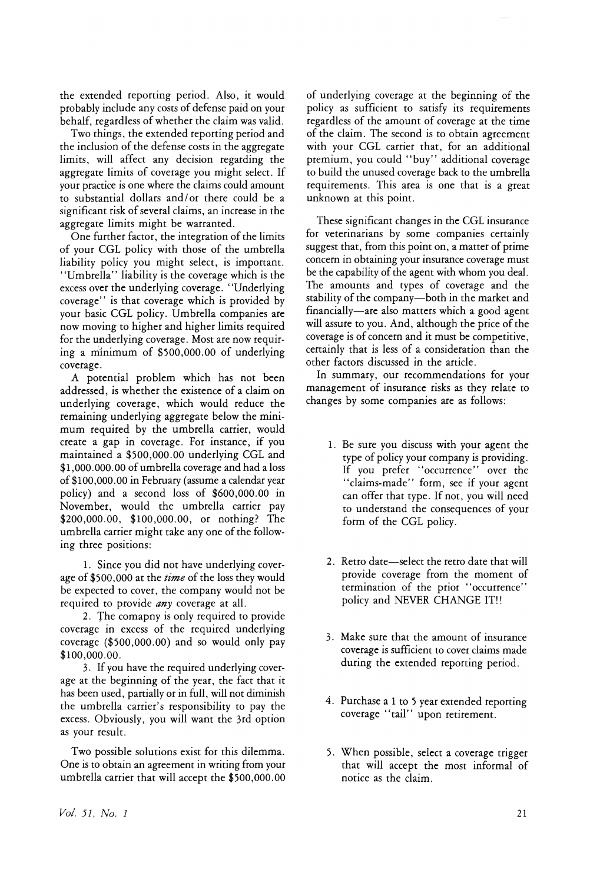the extended reporting period. Also, it would probably include any costs of defense paid on your behalf, regardless of whether the claim was valid.

Two things, the extended reporting period and the inclusion of the defense costs in the aggregate limits, will affect any decision regarding the aggregate limits of coverage you might select. If your practice is one where the claims could amount to substantial dollars and/ or there could be a significant risk of several claims, an increase in the aggregate limits might be warranted.

One further factor, the integration of the limits of your CGL policy with those of the umbrella liability policy you might select, is important. "Umbrella" liability is the coverage which is the excess over the underlying coverage. "Underlying coverage" is that coverage which is provided by your basic CGL policy. Umbrella companies are now moving to higher and higher limits required for the underlying coverage. Most are now requiring a minimum of  $$500,000.00$  of underlying coverage.

A potential problem which has not been addressed, is whether the existence of a claim on underlying coverage, which would reduce the remaining underlying aggregate below the minimum required by the umbrella carrier, would create a gap in coverage. For instance, if you maintained a \$500,000.00 underlying CGL and \$1,000.000.00 of umbrella coverage and had a loss of \$100,000.00 in February (assume a calendar year policy) and a second loss of \$600,000.00 in November, would the umbrella carrier pay \$200,000.00, \$100,000.00, or nothing? The umbrella carrier might take any one of the following three positions:

1. Since you did not have underlying coverage of \$500,000 at the *time* of the loss they would be expected to cover, the company would not be required to provide *any* coverage at all.

2. The comapny is only required to provide coverage in excess of the required underlying coverage (\$500,000.00) and so would only pay \$100,000.00.

3. If you have the required underlying coverage at the beginning of the year, the fact that it has been used, partially or in full, will not diminish the umbrella carrier's responsibility to pay the excess. Obviously, you will want the 3rd option as your result.

Two possible solutions exist for this dilemma. One is to obtain an agreement in writing from your umbrella carrier that will accept the \$500,000.00 of underlying coverage at the beginning of the policy as sufficient to satisfy its requirements regardless of the amount of coverage at the time of the claim. The second is to obtain agreement with your CGL carrier that, for an additional premium, you could "buy" additional coverage to build the unused coverage back to the umbrella requirements. This area is one that is a great unknown at this point.

These significant changes in the CGL insurance for veterinarians by some companies certainly suggest that, from this point on, a matter of prime concern in obtaining your insurance coverage must be the capability of the agent with whom you deal. The amounts and types of coverage and the stability of the company-both in the market and financially-are also matters which a good agent will assure to you. And, although the price of the coverage is of concern and it must be competitive, certainly that is less of a consideration than the other factors discussed in the article.

In summary, our recommendations for your management of insurance risks as they relate to changes by some companies are as follows:

- 1. Be sure you discuss with your agent the type of policy your company is providing. If you prefer "occurrence" over the "claims-made" form, see if your agent can offer that type. If not, you will need to understand the consequences of your form of the CGL policy.
- 2. Retro date-select the retro date that will provide coverage from the moment of termination of the prior "occurrence" policy and NEVER CHANGE IT!!
- 3. Make sure that the amount of insurance coverage is sufficient to cover claims made during the extended reporting period.
- 4. Purchase a 1 to 5 year extended reporting coverage "tail" upon retirement.
- 5. When possible, select a coverage trigger that will accept the most informal of notice as the claim.